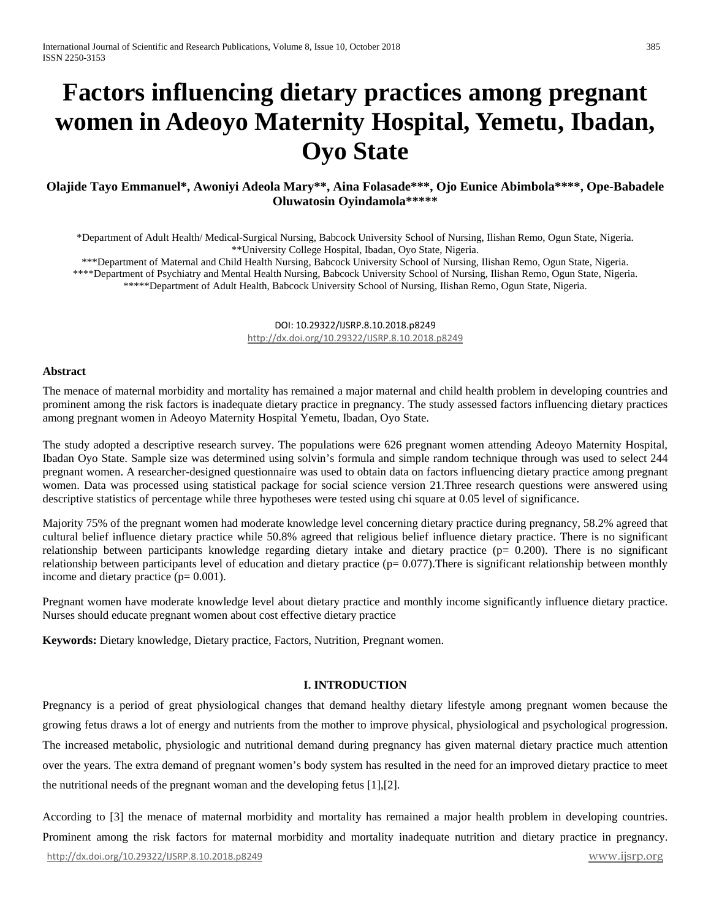# **Factors influencing dietary practices among pregnant women in Adeoyo Maternity Hospital, Yemetu, Ibadan, Oyo State**

# **Olajide Tayo Emmanuel\*, Awoniyi Adeola Mary\*\*, Aina Folasade\*\*\*, Ojo Eunice Abimbola\*\*\*\*, Ope-Babadele Oluwatosin Oyindamola\*\*\*\*\***

\*Department of Adult Health/ Medical-Surgical Nursing, Babcock University School of Nursing, Ilishan Remo, Ogun State, Nigeria. \*\*University College Hospital, Ibadan, Oyo State, Nigeria.

\*\*\*Department of Maternal and Child Health Nursing, Babcock University School of Nursing, Ilishan Remo, Ogun State, Nigeria.

\*\*\*\*Department of Psychiatry and Mental Health Nursing, Babcock University School of Nursing, Ilishan Remo, Ogun State, Nigeria.

\*\*\*\*\*Department of Adult Health, Babcock University School of Nursing, Ilishan Remo, Ogun State, Nigeria.

DOI: 10.29322/IJSRP.8.10.2018.p8249 <http://dx.doi.org/10.29322/IJSRP.8.10.2018.p8249>

#### **Abstract**

The menace of maternal morbidity and mortality has remained a major maternal and child health problem in developing countries and prominent among the risk factors is inadequate dietary practice in pregnancy. The study assessed factors influencing dietary practices among pregnant women in Adeoyo Maternity Hospital Yemetu, Ibadan, Oyo State.

The study adopted a descriptive research survey. The populations were 626 pregnant women attending Adeoyo Maternity Hospital, Ibadan Oyo State. Sample size was determined using solvin's formula and simple random technique through was used to select 244 pregnant women. A researcher-designed questionnaire was used to obtain data on factors influencing dietary practice among pregnant women. Data was processed using statistical package for social science version 21.Three research questions were answered using descriptive statistics of percentage while three hypotheses were tested using chi square at 0.05 level of significance.

Majority 75% of the pregnant women had moderate knowledge level concerning dietary practice during pregnancy, 58.2% agreed that cultural belief influence dietary practice while 50.8% agreed that religious belief influence dietary practice. There is no significant relationship between participants knowledge regarding dietary intake and dietary practice ( $p= 0.200$ ). There is no significant relationship between participants level of education and dietary practice  $(p= 0.077)$ . There is significant relationship between monthly income and dietary practice  $(p= 0.001)$ .

Pregnant women have moderate knowledge level about dietary practice and monthly income significantly influence dietary practice. Nurses should educate pregnant women about cost effective dietary practice

**Keywords:** Dietary knowledge, Dietary practice, Factors, Nutrition, Pregnant women.

## **I. INTRODUCTION**

Pregnancy is a period of great physiological changes that demand healthy dietary lifestyle among pregnant women because the growing fetus draws a lot of energy and nutrients from the mother to improve physical, physiological and psychological progression. The increased metabolic, physiologic and nutritional demand during pregnancy has given maternal dietary practice much attention over the years. The extra demand of pregnant women's body system has resulted in the need for an improved dietary practice to meet the nutritional needs of the pregnant woman and the developing fetus [1],[2].

<http://dx.doi.org/10.29322/IJSRP.8.10.2018.p8249>[www.ijsrp.org](http://ijsrp.org/) According to [3] the menace of maternal morbidity and mortality has remained a major health problem in developing countries. Prominent among the risk factors for maternal morbidity and mortality inadequate nutrition and dietary practice in pregnancy.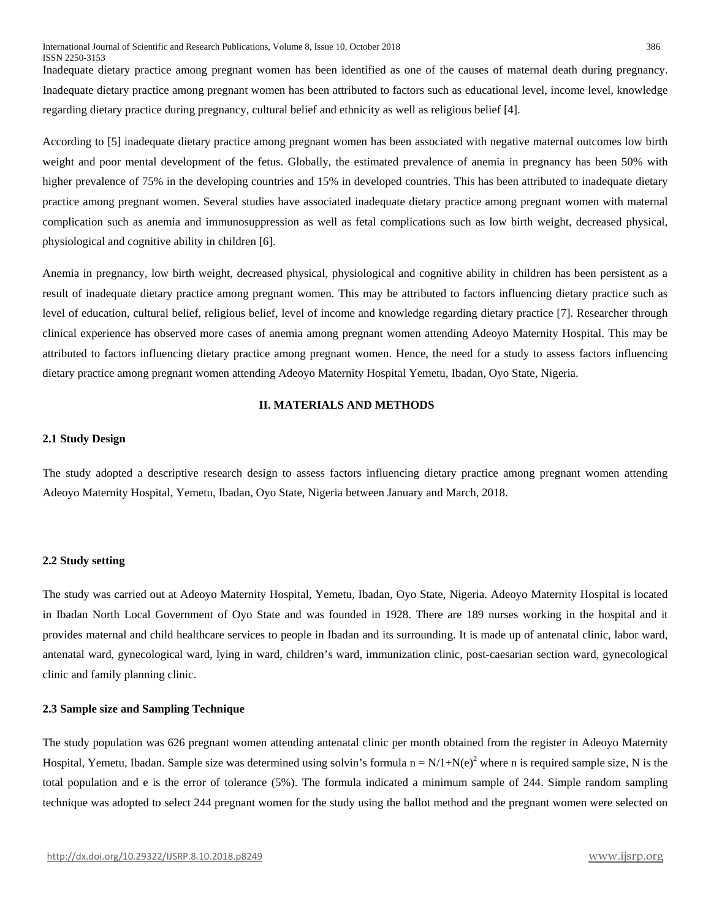Inadequate dietary practice among pregnant women has been identified as one of the causes of maternal death during pregnancy. Inadequate dietary practice among pregnant women has been attributed to factors such as educational level, income level, knowledge regarding dietary practice during pregnancy, cultural belief and ethnicity as well as religious belief [4].

According to [5] inadequate dietary practice among pregnant women has been associated with negative maternal outcomes low birth weight and poor mental development of the fetus. Globally, the estimated prevalence of anemia in pregnancy has been 50% with higher prevalence of 75% in the developing countries and 15% in developed countries. This has been attributed to inadequate dietary practice among pregnant women. Several studies have associated inadequate dietary practice among pregnant women with maternal complication such as anemia and immunosuppression as well as fetal complications such as low birth weight, decreased physical, physiological and cognitive ability in children [6].

Anemia in pregnancy, low birth weight, decreased physical, physiological and cognitive ability in children has been persistent as a result of inadequate dietary practice among pregnant women. This may be attributed to factors influencing dietary practice such as level of education, cultural belief, religious belief, level of income and knowledge regarding dietary practice [7]. Researcher through clinical experience has observed more cases of anemia among pregnant women attending Adeoyo Maternity Hospital. This may be attributed to factors influencing dietary practice among pregnant women. Hence, the need for a study to assess factors influencing dietary practice among pregnant women attending Adeoyo Maternity Hospital Yemetu, Ibadan, Oyo State, Nigeria.

# **II. MATERIALS AND METHODS**

#### **2.1 Study Design**

The study adopted a descriptive research design to assess factors influencing dietary practice among pregnant women attending Adeoyo Maternity Hospital, Yemetu, Ibadan, Oyo State, Nigeria between January and March, 2018.

#### **2.2 Study setting**

The study was carried out at Adeoyo Maternity Hospital, Yemetu, Ibadan, Oyo State, Nigeria. Adeoyo Maternity Hospital is located in Ibadan North Local Government of Oyo State and was founded in 1928. There are 189 nurses working in the hospital and it provides maternal and child healthcare services to people in Ibadan and its surrounding. It is made up of antenatal clinic, labor ward, antenatal ward, gynecological ward, lying in ward, children's ward, immunization clinic, post-caesarian section ward, gynecological clinic and family planning clinic.

#### **2.3 Sample size and Sampling Technique**

The study population was 626 pregnant women attending antenatal clinic per month obtained from the register in Adeoyo Maternity Hospital, Yemetu, Ibadan. Sample size was determined using solvin's formula  $n = N/1+N(e)^2$  where n is required sample size, N is the total population and e is the error of tolerance (5%). The formula indicated a minimum sample of 244. Simple random sampling technique was adopted to select 244 pregnant women for the study using the ballot method and the pregnant women were selected on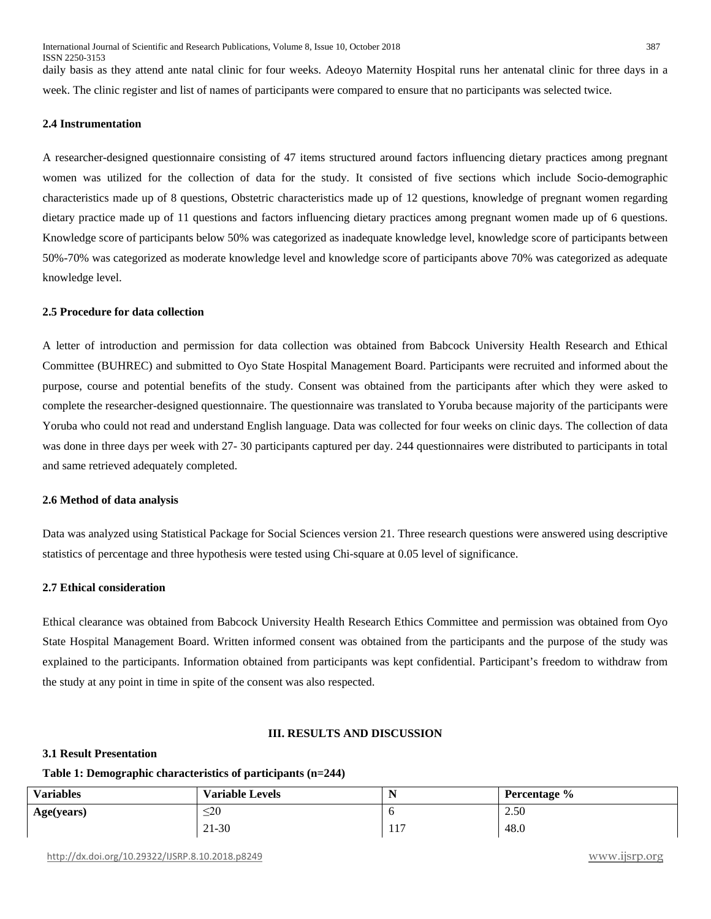daily basis as they attend ante natal clinic for four weeks. Adeoyo Maternity Hospital runs her antenatal clinic for three days in a week. The clinic register and list of names of participants were compared to ensure that no participants was selected twice.

## **2.4 Instrumentation**

A researcher-designed questionnaire consisting of 47 items structured around factors influencing dietary practices among pregnant women was utilized for the collection of data for the study. It consisted of five sections which include Socio-demographic characteristics made up of 8 questions, Obstetric characteristics made up of 12 questions, knowledge of pregnant women regarding dietary practice made up of 11 questions and factors influencing dietary practices among pregnant women made up of 6 questions. Knowledge score of participants below 50% was categorized as inadequate knowledge level, knowledge score of participants between 50%-70% was categorized as moderate knowledge level and knowledge score of participants above 70% was categorized as adequate knowledge level.

#### **2.5 Procedure for data collection**

A letter of introduction and permission for data collection was obtained from Babcock University Health Research and Ethical Committee (BUHREC) and submitted to Oyo State Hospital Management Board. Participants were recruited and informed about the purpose, course and potential benefits of the study. Consent was obtained from the participants after which they were asked to complete the researcher-designed questionnaire. The questionnaire was translated to Yoruba because majority of the participants were Yoruba who could not read and understand English language. Data was collected for four weeks on clinic days. The collection of data was done in three days per week with 27- 30 participants captured per day. 244 questionnaires were distributed to participants in total and same retrieved adequately completed.

#### **2.6 Method of data analysis**

Data was analyzed using Statistical Package for Social Sciences version 21. Three research questions were answered using descriptive statistics of percentage and three hypothesis were tested using Chi-square at 0.05 level of significance.

#### **2.7 Ethical consideration**

Ethical clearance was obtained from Babcock University Health Research Ethics Committee and permission was obtained from Oyo State Hospital Management Board. Written informed consent was obtained from the participants and the purpose of the study was explained to the participants. Information obtained from participants was kept confidential. Participant's freedom to withdraw from the study at any point in time in spite of the consent was also respected.

#### **III. RESULTS AND DISCUSSION**

#### **3.1 Result Presentation**

#### **Table 1: Demographic characteristics of participants (n=244)**

| <b>Variables</b> | <b>Variable Levels</b> | N             | Percentage % |
|------------------|------------------------|---------------|--------------|
| Age(years)       | $\leq$ 20              |               | 2.50         |
|                  | 21-30                  | $\sim$<br>11/ | 48.0         |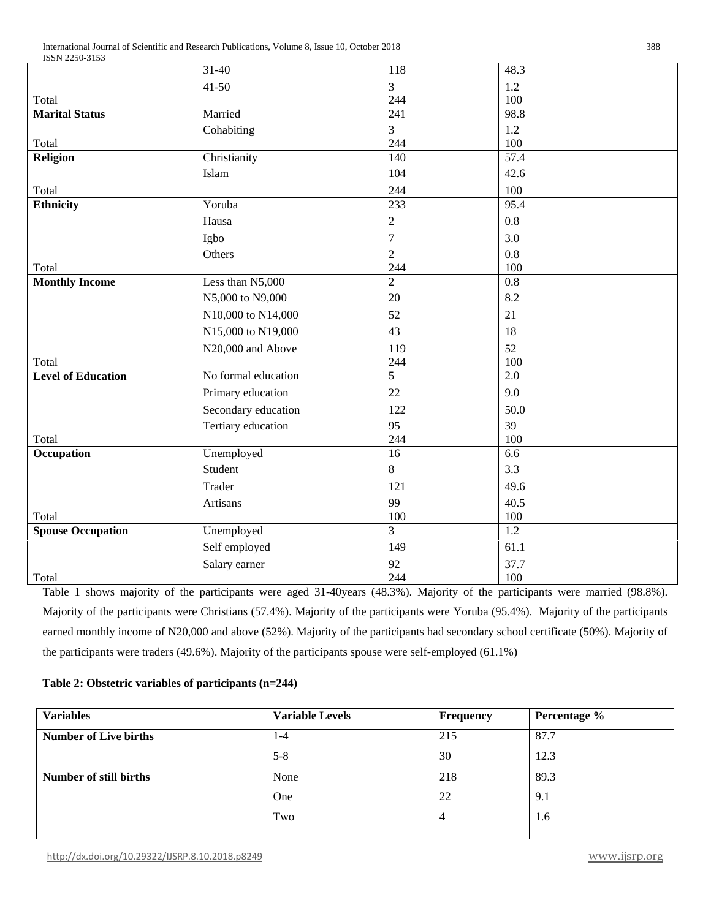|                           | $31 - 40$           | 118              | 48.3              |  |
|---------------------------|---------------------|------------------|-------------------|--|
|                           | $41 - 50$           | 3                | 1.2               |  |
| Total                     |                     | 244              | 100               |  |
| <b>Marital Status</b>     | Married             | $\overline{241}$ | 98.8              |  |
|                           | Cohabiting          | 3                | 1.2               |  |
| Total                     |                     | 244              | 100               |  |
| Religion                  | Christianity        | 140              | $\overline{57.4}$ |  |
|                           | Islam               | 104              | 42.6              |  |
| Total                     |                     | 244              | 100               |  |
| <b>Ethnicity</b>          | Yoruba              | 233              | 95.4              |  |
|                           | Hausa               | $\overline{2}$   | 0.8               |  |
|                           | Igbo                | $\overline{7}$   | 3.0               |  |
|                           | Others              | $\overline{2}$   | 0.8               |  |
| Total                     |                     | 244              | 100               |  |
| <b>Monthly Income</b>     | Less than N5,000    | $\overline{2}$   | 0.8               |  |
|                           | N5,000 to N9,000    | 20               | 8.2               |  |
|                           | N10,000 to N14,000  | 52               | 21                |  |
|                           | N15,000 to N19,000  | 43               | 18                |  |
|                           | N20,000 and Above   | 119              | 52                |  |
| Total                     |                     | 244              | 100               |  |
| <b>Level of Education</b> | No formal education | $\overline{5}$   | $\overline{2.0}$  |  |
|                           | Primary education   | 22               | 9.0               |  |
|                           | Secondary education | 122              | 50.0              |  |
|                           | Tertiary education  | 95               | 39                |  |
| Total                     |                     | 244              | 100               |  |
| Occupation                | Unemployed          | 16               | 6.6               |  |
|                           | Student             | 8                | 3.3               |  |
|                           | Trader              | 121              | 49.6              |  |
|                           | Artisans            | 99               | 40.5              |  |
| Total                     |                     | $100\,$          | 100               |  |
| <b>Spouse Occupation</b>  | Unemployed          | $\overline{3}$   | 1.2               |  |
|                           | Self employed       | 149              | 61.1              |  |
|                           | Salary earner       | 92               | 37.7              |  |
| Total                     |                     | 244              | 100               |  |

Table 1 shows majority of the participants were aged 31-40years (48.3%). Majority of the participants were married (98.8%). Majority of the participants were Christians (57.4%). Majority of the participants were Yoruba (95.4%). Majority of the participants earned monthly income of N20,000 and above (52%). Majority of the participants had secondary school certificate (50%). Majority of the participants were traders (49.6%). Majority of the participants spouse were self-employed (61.1%)

# **Table 2: Obstetric variables of participants (n=244)**

| <b>Variables</b>              | <b>Variable Levels</b> | Frequency | Percentage % |
|-------------------------------|------------------------|-----------|--------------|
| <b>Number of Live births</b>  | $1 - 4$                | 215       | 87.7         |
|                               | $5 - 8$                | 30        | 12.3         |
| <b>Number of still births</b> | None                   | 218       | 89.3         |
|                               | One                    | 22        | 9.1          |
|                               | Two                    | 4         | 1.6          |
|                               |                        |           |              |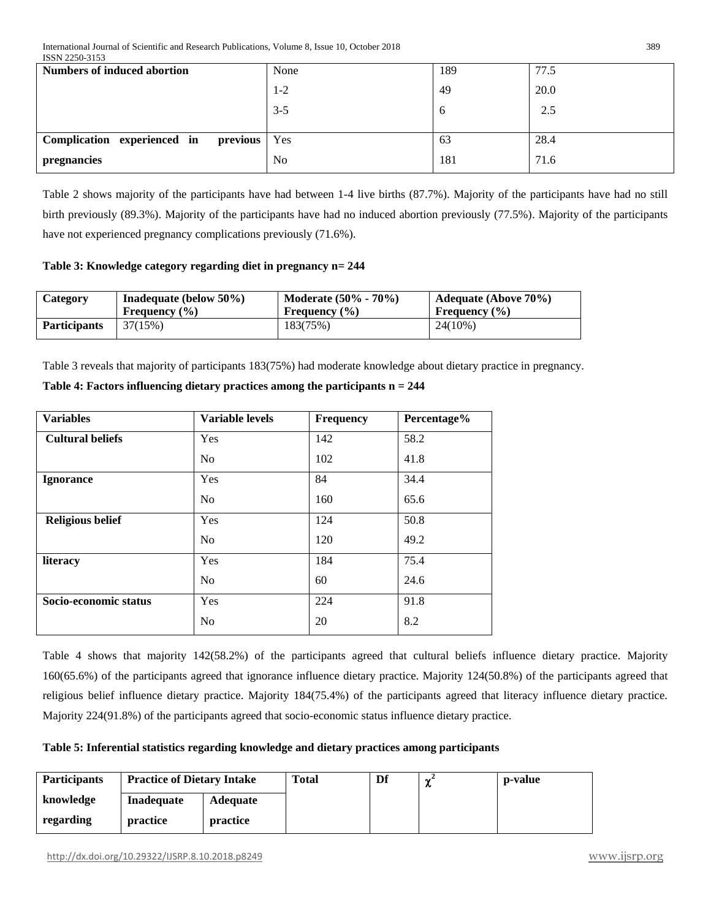| LUUIN 22JU-JIJJ<br><b>Numbers of induced abortion</b> | None           | 189 | 77.5 |
|-------------------------------------------------------|----------------|-----|------|
|                                                       | $1 - 2$        | 49  | 20.0 |
|                                                       | $3 - 5$        | b   | 2.5  |
| Complication experienced in<br>previous Yes           |                | 63  | 28.4 |
| pregnancies                                           | N <sub>o</sub> | 181 | 71.6 |

Table 2 shows majority of the participants have had between 1-4 live births (87.7%). Majority of the participants have had no still birth previously (89.3%). Majority of the participants have had no induced abortion previously (77.5%). Majority of the participants have not experienced pregnancy complications previously (71.6%).

**Table 3: Knowledge category regarding diet in pregnancy n= 244**

| Category            | Inadequate (below $50\%$ ) | <b>Moderate (50% - 70%)</b> | <b>Adequate (Above 70%)</b> |
|---------------------|----------------------------|-----------------------------|-----------------------------|
|                     | Frequency $(\% )$          | Frequency $(\% )$           | Frequency $(\% )$           |
| <b>Participants</b> | 37(15%)                    | 183(75%)                    | $24(10\%)$                  |

Table 3 reveals that majority of participants 183(75%) had moderate knowledge about dietary practice in pregnancy.

|  | Table 4: Factors influencing dietary practices among the participants $n = 244$ |
|--|---------------------------------------------------------------------------------|
|--|---------------------------------------------------------------------------------|

| <b>Variables</b>        | <b>Variable levels</b> | <b>Frequency</b> | Percentage% |
|-------------------------|------------------------|------------------|-------------|
| <b>Cultural beliefs</b> | Yes                    | 142              | 58.2        |
|                         | No                     | 102              | 41.8        |
| <b>Ignorance</b>        | Yes                    | 84               | 34.4        |
|                         | N <sub>0</sub>         | 160              | 65.6        |
| <b>Religious belief</b> | Yes                    | 124              | 50.8        |
|                         | No                     | 120              | 49.2        |
| literacy                | Yes                    | 184              | 75.4        |
|                         | No                     | 60               | 24.6        |
| Socio-economic status   | Yes                    | 224              | 91.8        |
|                         | N <sub>0</sub>         | 20               | 8.2         |

Table 4 shows that majority 142(58.2%) of the participants agreed that cultural beliefs influence dietary practice. Majority 160(65.6%) of the participants agreed that ignorance influence dietary practice. Majority 124(50.8%) of the participants agreed that religious belief influence dietary practice. Majority 184(75.4%) of the participants agreed that literacy influence dietary practice. Majority 224(91.8%) of the participants agreed that socio-economic status influence dietary practice.

# **Table 5: Inferential statistics regarding knowledge and dietary practices among participants**

| <b>Participants</b> | <b>Practice of Dietary Intake</b> |                 | <b>Total</b> | Df | $\sim$<br>w | p-value |
|---------------------|-----------------------------------|-----------------|--------------|----|-------------|---------|
| knowledge           | <b>Inadequate</b>                 | <b>Adequate</b> |              |    |             |         |
| regarding           | practice                          | practice        |              |    |             |         |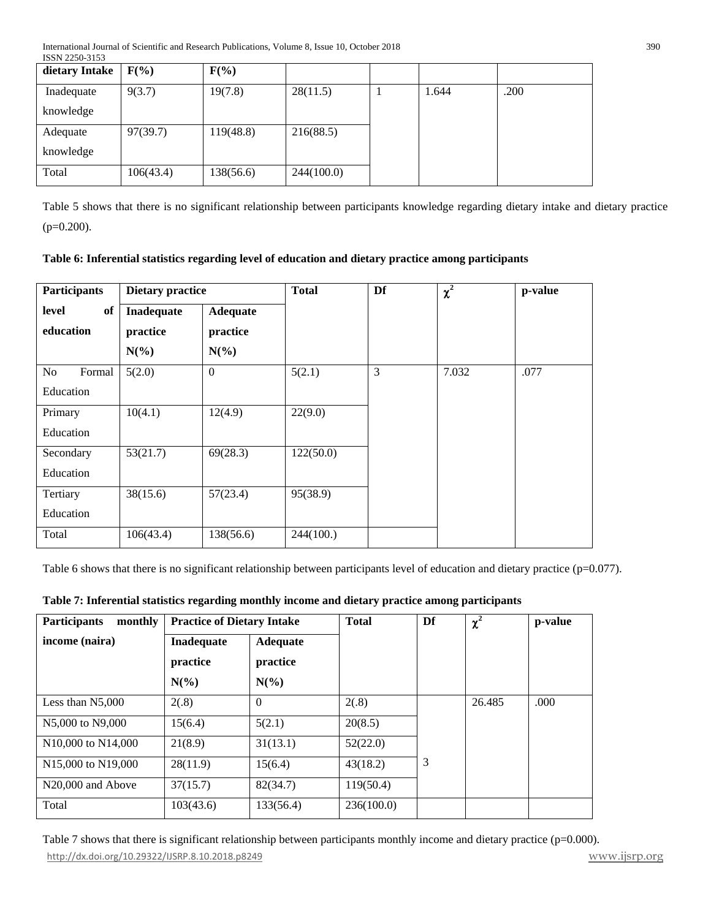| dietary Intake | $F(\%)$   | $F(\%)$   |            |       |      |
|----------------|-----------|-----------|------------|-------|------|
| Inadequate     | 9(3.7)    | 19(7.8)   | 28(11.5)   | 1.644 | .200 |
| knowledge      |           |           |            |       |      |
| Adequate       | 97(39.7)  | 119(48.8) | 216(88.5)  |       |      |
| knowledge      |           |           |            |       |      |
| Total          | 106(43.4) | 138(56.6) | 244(100.0) |       |      |

Table 5 shows that there is no significant relationship between participants knowledge regarding dietary intake and dietary practice (p=0.200).

| Table 6: Inferential statistics regarding level of education and dietary practice among participants |  |  |  |  |  |  |  |  |
|------------------------------------------------------------------------------------------------------|--|--|--|--|--|--|--|--|
|------------------------------------------------------------------------------------------------------|--|--|--|--|--|--|--|--|

| <b>Participants</b> | <b>Dietary practice</b> |                 | <b>Total</b> | Df | $\chi^2$ | p-value |
|---------------------|-------------------------|-----------------|--------------|----|----------|---------|
| of<br>level         | Inadequate              | <b>Adequate</b> |              |    |          |         |
| education           | practice                | practice        |              |    |          |         |
|                     | $N(\%)$                 | $N(\%)$         |              |    |          |         |
| No<br>Formal        | 5(2.0)                  | $\mathbf{0}$    | 5(2.1)       | 3  | 7.032    | .077    |
| Education           |                         |                 |              |    |          |         |
| Primary             | 10(4.1)                 | 12(4.9)         | 22(9.0)      |    |          |         |
| Education           |                         |                 |              |    |          |         |
| Secondary           | 53(21.7)                | 69(28.3)        | 122(50.0)    |    |          |         |
| Education           |                         |                 |              |    |          |         |
| Tertiary            | 38(15.6)                | 57(23.4)        | 95(38.9)     |    |          |         |
| Education           |                         |                 |              |    |          |         |
| Total               | 106(43.4)               | 138(56.6)       | 244(100.)    |    |          |         |

Table 6 shows that there is no significant relationship between participants level of education and dietary practice (p=0.077).

| <b>Participants</b><br>monthly               | <b>Practice of Dietary Intake</b> |                 | <b>Total</b> | Df | $\chi^2$ | p-value |
|----------------------------------------------|-----------------------------------|-----------------|--------------|----|----------|---------|
| income (naira)                               | Inadequate                        | <b>Adequate</b> |              |    |          |         |
|                                              | practice                          | practice        |              |    |          |         |
|                                              | $N(\%)$                           | $N(\%)$         |              |    |          |         |
| Less than N5,000                             | 2(.8)                             | $\Omega$        | 2(.8)        |    | 26.485   | .000    |
| N5,000 to N9,000                             | 15(6.4)                           | 5(2.1)          | 20(8.5)      |    |          |         |
| N <sub>10</sub> ,000 to N <sub>14</sub> ,000 | 21(8.9)                           | 31(13.1)        | 52(22.0)     |    |          |         |
| N <sub>15</sub> ,000 to N <sub>19</sub> ,000 | 28(11.9)                          | 15(6.4)         | 43(18.2)     | 3  |          |         |
| N <sub>20</sub> ,000 and Above               | 37(15.7)                          | 82(34.7)        | 119(50.4)    |    |          |         |
| Total                                        | 103(43.6)                         | 133(56.4)       | 236(100.0)   |    |          |         |

# **Table 7: Inferential statistics regarding monthly income and dietary practice among participants**

<http://dx.doi.org/10.29322/IJSRP.8.10.2018.p8249>[www.ijsrp.org](http://ijsrp.org/) Table 7 shows that there is significant relationship between participants monthly income and dietary practice (p=0.000).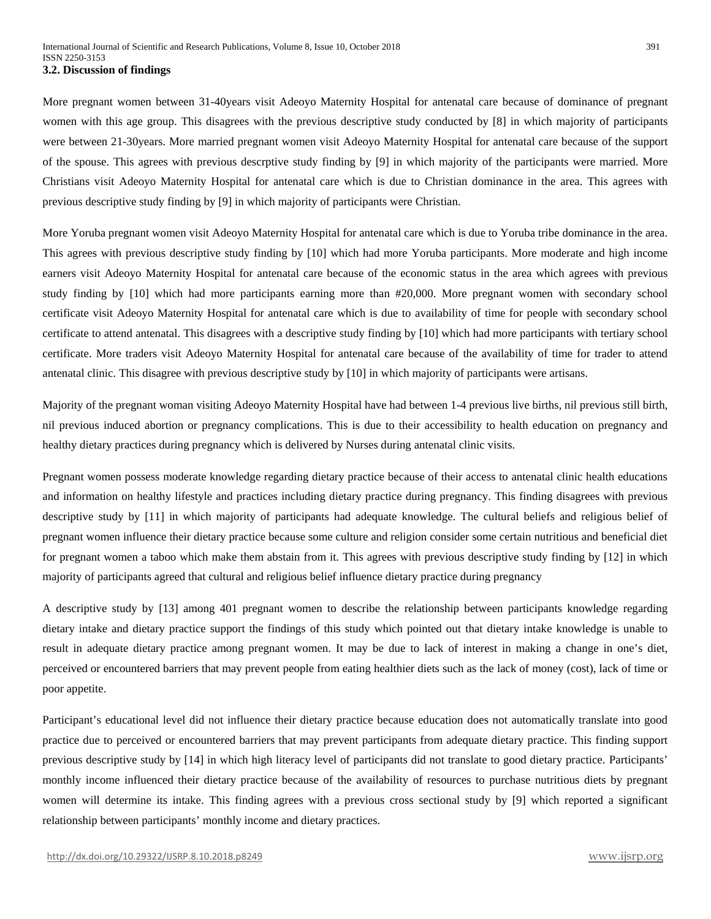More pregnant women between 31-40years visit Adeoyo Maternity Hospital for antenatal care because of dominance of pregnant women with this age group. This disagrees with the previous descriptive study conducted by [8] in which majority of participants were between 21-30years. More married pregnant women visit Adeoyo Maternity Hospital for antenatal care because of the support of the spouse. This agrees with previous descrptive study finding by [9] in which majority of the participants were married. More Christians visit Adeoyo Maternity Hospital for antenatal care which is due to Christian dominance in the area. This agrees with previous descriptive study finding by [9] in which majority of participants were Christian.

More Yoruba pregnant women visit Adeoyo Maternity Hospital for antenatal care which is due to Yoruba tribe dominance in the area. This agrees with previous descriptive study finding by [10] which had more Yoruba participants. More moderate and high income earners visit Adeoyo Maternity Hospital for antenatal care because of the economic status in the area which agrees with previous study finding by [10] which had more participants earning more than #20,000. More pregnant women with secondary school certificate visit Adeoyo Maternity Hospital for antenatal care which is due to availability of time for people with secondary school certificate to attend antenatal. This disagrees with a descriptive study finding by [10] which had more participants with tertiary school certificate. More traders visit Adeoyo Maternity Hospital for antenatal care because of the availability of time for trader to attend antenatal clinic. This disagree with previous descriptive study by [10] in which majority of participants were artisans.

Majority of the pregnant woman visiting Adeoyo Maternity Hospital have had between 1-4 previous live births, nil previous still birth, nil previous induced abortion or pregnancy complications. This is due to their accessibility to health education on pregnancy and healthy dietary practices during pregnancy which is delivered by Nurses during antenatal clinic visits.

Pregnant women possess moderate knowledge regarding dietary practice because of their access to antenatal clinic health educations and information on healthy lifestyle and practices including dietary practice during pregnancy. This finding disagrees with previous descriptive study by [11] in which majority of participants had adequate knowledge. The cultural beliefs and religious belief of pregnant women influence their dietary practice because some culture and religion consider some certain nutritious and beneficial diet for pregnant women a taboo which make them abstain from it. This agrees with previous descriptive study finding by [12] in which majority of participants agreed that cultural and religious belief influence dietary practice during pregnancy

A descriptive study by [13] among 401 pregnant women to describe the relationship between participants knowledge regarding dietary intake and dietary practice support the findings of this study which pointed out that dietary intake knowledge is unable to result in adequate dietary practice among pregnant women. It may be due to lack of interest in making a change in one's diet, perceived or encountered barriers that may prevent people from eating healthier diets such as the lack of money (cost), lack of time or poor appetite.

Participant's educational level did not influence their dietary practice because education does not automatically translate into good practice due to perceived or encountered barriers that may prevent participants from adequate dietary practice. This finding support previous descriptive study by [14] in which high literacy level of participants did not translate to good dietary practice. Participants' monthly income influenced their dietary practice because of the availability of resources to purchase nutritious diets by pregnant women will determine its intake. This finding agrees with a previous cross sectional study by [9] which reported a significant relationship between participants' monthly income and dietary practices.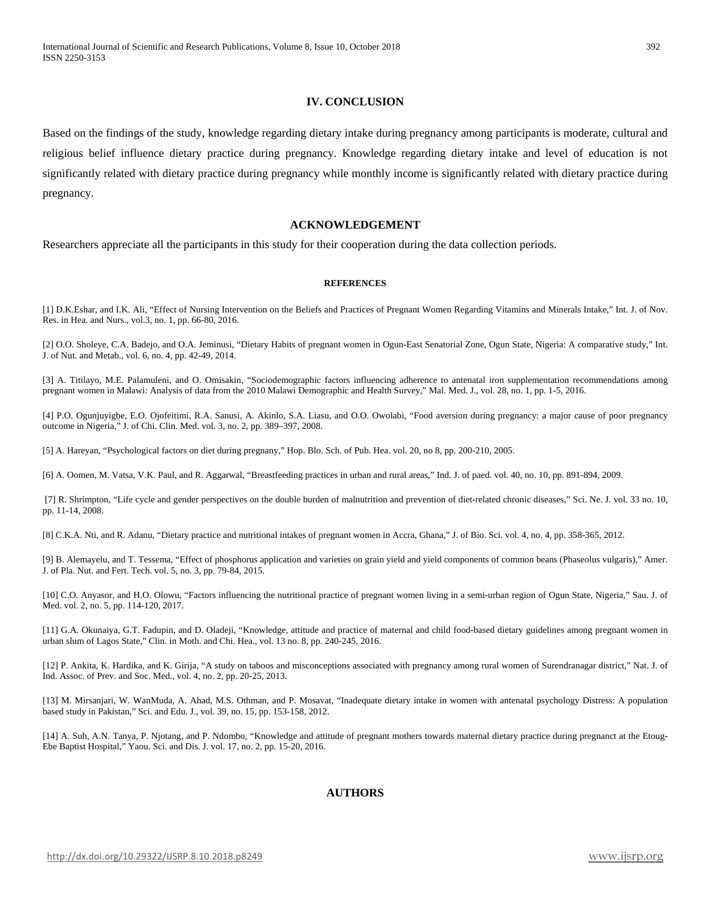### **IV. CONCLUSION**

Based on the findings of the study, knowledge regarding dietary intake during pregnancy among participants is moderate, cultural and religious belief influence dietary practice during pregnancy. Knowledge regarding dietary intake and level of education is not significantly related with dietary practice during pregnancy while monthly income is significantly related with dietary practice during pregnancy.

## **ACKNOWLEDGEMENT**

Researchers appreciate all the participants in this study for their cooperation during the data collection periods.

#### **REFERENCES**

[1] D.K.Eshar, and I.K. Ali, "Effect of Nursing Intervention on the Beliefs and Practices of Pregnant Women Regarding Vitamins and Minerals Intake," Int. J. of Nov. Res. in Hea. and Nurs., vol.3, no. 1, pp. 66-80, 2016.

[2] O.O. Sholeye, C.A. Badejo, and O.A. Jeminusi, "Dietary Habits of pregnant women in Ogun-East Senatorial Zone, Ogun State, Nigeria: A comparative study," Int. J. of Nut. and Metab., vol. 6, no. 4, pp. 42-49, 2014.

[3] A. Titilayo, M.E. Palamuleni, and O. Omisakin, "Sociodemographic factors influencing adherence to antenatal iron supplementation recommendations among pregnant women in Malawi: Analysis of data from the 2010 Malawi Demographic and Health Survey," Mal. Med. J., vol. 28, no. 1, pp. 1-5, 2016.

[4] P.O. Ogunjuyigbe, E.O. Ojofeitimi, R.A. Sanusi, A. Akinlo, S.A. Liasu, and O.O. Owolabi, "Food aversion during pregnancy: a major cause of poor pregnancy outcome in Nigeria," J. of Chi. Clin. Med. vol. 3, no. 2, pp. 389–397, 2008.

[5] A. Hareyan, "Psychological factors on diet during pregnany," Hop. Blo. Sch. of Pub. Hea. vol. 20, no 8, pp. 200-210, 2005.

[6] A. Oomen, M. Vatsa, V.K. Paul, and R. Aggarwal, "Breastfeeding practices in urban and rural areas," Ind. J. of paed. vol. 40, no. 10, pp. 891-894, 2009.

[7] R. Shrimpton, "Life cycle and gender perspectives on the double burden of malnutrition and prevention of diet-related chronic diseases," Sci. Ne. J. vol. 33 no. 10, pp. 11-14, 2008.

[8] C.K.A. Nti, and R. Adanu, "Dietary practice and nutritional intakes of pregnant women in Accra, Ghana," J. of Bio. Sci. vol. 4, no. 4, pp. 358-365, 2012.

[9] B. Alemayelu, and T. Tessema, "Effect of phosphorus application and varieties on grain yield and yield components of common beans (Phaseolus vulgaris)," Amer. J. of Pla. Nut. and Fert. Tech. vol. 5, no. 3, pp. 79-84, 2015.

[10] C.O. Anyasor, and H.O. Olowu, "Factors influencing the nutritional practice of pregnant women living in a semi-urban region of Ogun State, Nigeria," Sau. J. of Med. vol. 2, no. 5, pp. 114-120, 2017.

[11] G.A. Okunaiya, G.T. Fadupin, and D. Oladeji, "Knowledge, attitude and practice of maternal and child food-based dietary guidelines among pregnant women in urban slum of Lagos State," Clin. in Moth. and Chi. Hea., vol. 13 no. 8, pp. 240-245, 2016.

[12] P. Ankita, K. Hardika, and K. Girija, "A study on taboos and misconceptions associated with pregnancy among rural women of Surendranagar district," Nat. J. of Ind. Assoc. of Prev. and Soc. Med., vol. 4, no. 2, pp. 20-25, 2013.

[13] M. Mirsanjari, W. WanMuda, A. Ahad, M.S. Othman, and P. Mosavat, "Inadequate dietary intake in women with antenatal psychology Distress: A population based study in Pakistan," Sci. and Edu. J., vol. 39, no. 15, pp. 153-158, 2012.

[14] A. Suh, A.N. Tanya, P. Njotang, and P. Ndombo, "Knowledge and attitude of pregnant mothers towards maternal dietary practice during pregnanct at the Etoug-Ebe Baptist Hospital," Yaou. Sci. and Dis. J. vol. 17, no. 2, pp. 15-20, 2016.

## **AUTHORS**